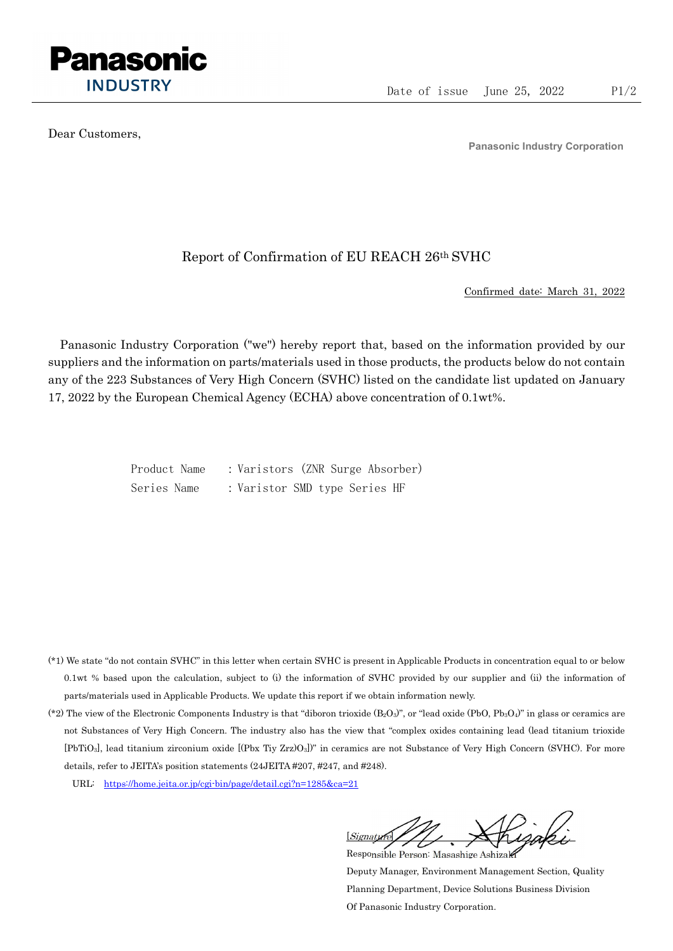

Dear Customers,

Panasonic Industry Corporation

## Report of Confirmation of EU REACH 26th SVHC

Confirmed date: March 31, 2022

Panasonic Industry Corporation ("we") hereby report that, based on the information provided by our suppliers and the information on parts/materials used in those products, the products below do not contain any of the 223 Substances of Very High Concern (SVHC) listed on the candidate list updated on January 17, 2022 by the European Chemical Agency (ECHA) above concentration of 0.1wt%.

> Product Name : Varistors (ZNR Surge Absorber) Series Name : Varistor SMD type Series HF

- (\*1) We state "do not contain SVHC" in this letter when certain SVHC is present in Applicable Products in concentration equal to or below 0.1wt % based upon the calculation, subject to (i) the information of SVHC provided by our supplier and (ii) the information of parts/materials used in Applicable Products. We update this report if we obtain information newly.
- (\*2) The view of the Electronic Components Industry is that "diboron trioxide  $(B_2O_3)$ ", or "lead oxide (PbO, Pb<sub>3</sub>O<sub>4</sub>)" in glass or ceramics are not Substances of Very High Concern. The industry also has the view that "complex oxides containing lead (lead titanium trioxide [PbTiO3], lead titanium zirconium oxide [(Pbx Tiy Zrz)O3])" in ceramics are not Substance of Very High Concern (SVHC). For more details, refer to JEITA's position statements (24JEITA #207, #247, and #248).
	- URL: https://home.jeita.or.jp/cgi-bin/page/detail.cgi?n=1285&ca=21

[Signature] Responsible Person: Masashige Ashizaki

Deputy Manager, Environment Management Section, Quality Planning Department, Device Solutions Business Division Of Panasonic Industry Corporation.